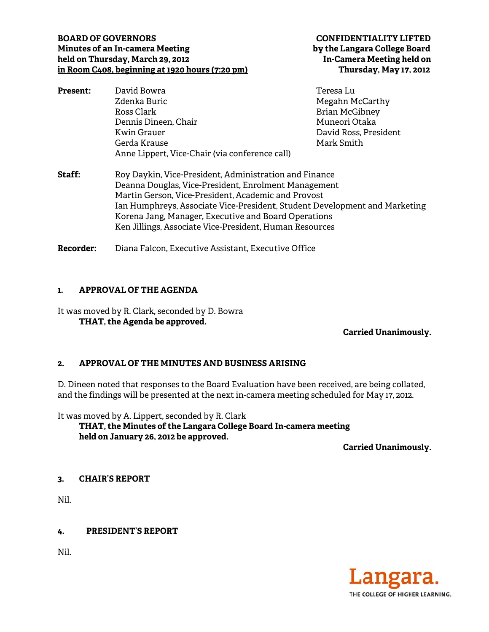# **BOARD OF GOVERNORS Minutes of an In-cam mera Meetin ng held on T Thursday, M March 29, 201 12**  <u>**in Room C408, beginning at 1920 hours (7:20 pm)**</u>

**C CONFIDENT TIALITY LIF FTED by y the Langar ra College B Board In-Camera a Meeting he eld on Thursd day, May 17, , 2012**

| <b>Present:</b> | David Bowra                                            | Teresa Lu             |
|-----------------|--------------------------------------------------------|-----------------------|
|                 | Zdenka Buric                                           | Megahn McCarthy       |
|                 | Ross Clark                                             | <b>Brian McGibney</b> |
|                 | Dennis Dineen, Chair                                   | Muneori Otaka         |
|                 | Kwin Grauer                                            | David Ross, President |
|                 | Gerda Krause                                           | Mark Smith            |
|                 | Anne Lippert, Vice-Chair (via conference call)         |                       |
| Staff:          | Roy Daykin, Vice-President, Administration and Finance |                       |

Deanna Douglas, Vice-President, Enrolment Management Martin Gerson, Vice-President, Academic and Provost Ian Humphreys, Associate Vice-President, Student Development and Marketing Korena Jang, Manager, Executive and Board Operations Ken Jillings, Associate Vice-President, Human Resources

**Recorder r:** Diana Falcon, Executive Assistant, Executive Office

# 1. APPROVAL OF THE AGENDA

It was moved by R. Clark, seconded by D. Bowra **TH HAT, the Age enda be appr roved.** 

# **Carrie ed Unanimo ously.**

# 2. APPROVAL OF THE MINUTES AND BUSINESS ARISING

D. Dineen noted that responses to the Board Evaluation have been received, are being collated, and the findings will be presented at the next in-camera meeting scheduled for May 17, 2012.

It was m oved by A. L Lippert, seco nded by R. C Clark

**TH HAT, the Min nutes of the Langara Co llege Board In-camera m meeting hel d on Januar ry 26, 2012 be e approved.**

**Carrie ed Unanimo ously.** 

#### **3. CH AIR'S REPO ORT**

Nil.

**4. P PRESIDENT' S REPORT** 

Nil.